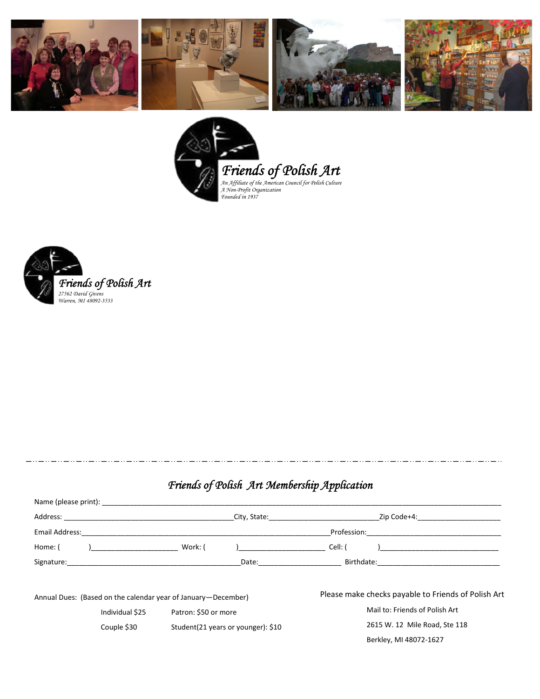





## *Friends of Polish Art Membership Application*

|                                                                                                                                                                                                                                                                                                                                                                                                                                                                  |                                         |                                     | City, State: The City of State State State State State State State State State State State State State State S |                                                     | Zip Code+4:                   |  |
|------------------------------------------------------------------------------------------------------------------------------------------------------------------------------------------------------------------------------------------------------------------------------------------------------------------------------------------------------------------------------------------------------------------------------------------------------------------|-----------------------------------------|-------------------------------------|----------------------------------------------------------------------------------------------------------------|-----------------------------------------------------|-------------------------------|--|
| Email Address:                                                                                                                                                                                                                                                                                                                                                                                                                                                   |                                         |                                     |                                                                                                                | Profession:                                         |                               |  |
| Home: (                                                                                                                                                                                                                                                                                                                                                                                                                                                          |                                         | Work: (                             |                                                                                                                | Cell: (                                             |                               |  |
| Signature: the contract of the contract of the contract of the contract of the contract of the contract of the contract of the contract of the contract of the contract of the contract of the contract of the contract of the<br>Date: the contract of the contract of the contract of the contract of the contract of the contract of the contract of the contract of the contract of the contract of the contract of the contract of the contract of the cont |                                         |                                     |                                                                                                                |                                                     |                               |  |
| Annual Dues: (Based on the calendar year of January-December)                                                                                                                                                                                                                                                                                                                                                                                                    |                                         |                                     |                                                                                                                | Please make checks payable to Friends of Polish Art |                               |  |
|                                                                                                                                                                                                                                                                                                                                                                                                                                                                  | Individual \$25<br>Patron: \$50 or more |                                     |                                                                                                                | Mail to: Friends of Polish Art                      |                               |  |
|                                                                                                                                                                                                                                                                                                                                                                                                                                                                  | Couple \$30                             | Student (21 years or younger): \$10 |                                                                                                                |                                                     | 2615 W. 12 Mile Road, Ste 118 |  |
|                                                                                                                                                                                                                                                                                                                                                                                                                                                                  |                                         |                                     |                                                                                                                |                                                     | Berkley, MI 48072-1627        |  |
|                                                                                                                                                                                                                                                                                                                                                                                                                                                                  |                                         |                                     |                                                                                                                |                                                     |                               |  |